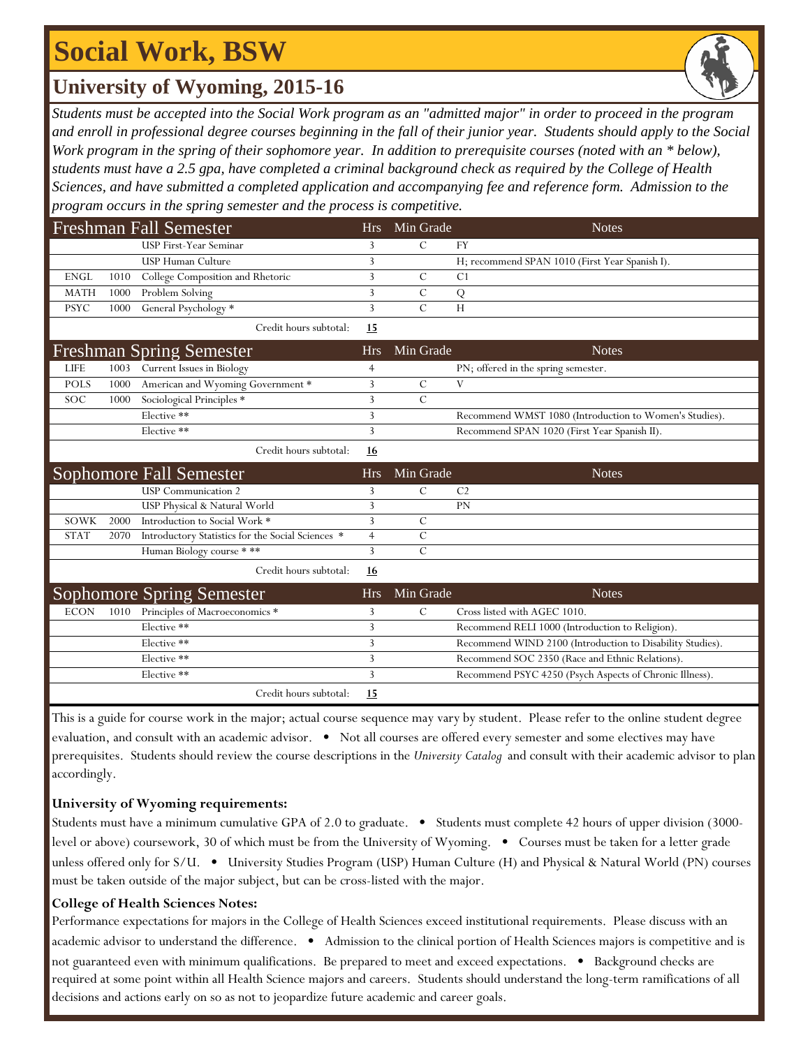## **Social Work, BSW**

### **University of Wyoming, 2015-16**

*Students must be accepted into the Social Work program as an "admitted major" in order to proceed in the program and enroll in professional degree courses beginning in the fall of their junior year. Students should apply to the Social Work program in the spring of their sophomore year. In addition to prerequisite courses (noted with an \* below), students must have a 2.5 gpa, have completed a criminal background check as required by the College of Health Sciences, and have submitted a completed application and accompanying fee and reference form. Admission to the program occurs in the spring semester and the process is competitive.*

| Freshman Fall Semester |      |                                                   | <b>Hrs</b> | Min Grade      | <b>Notes</b>                                              |
|------------------------|------|---------------------------------------------------|------------|----------------|-----------------------------------------------------------|
|                        |      | <b>USP First-Year Seminar</b>                     | 3          | $\mathcal{C}$  | <b>FY</b>                                                 |
|                        |      | <b>USP Human Culture</b>                          | 3          |                | H; recommend SPAN 1010 (First Year Spanish I).            |
| <b>ENGL</b>            | 1010 | College Composition and Rhetoric                  | 3          | $\mathcal{C}$  | C <sub>1</sub>                                            |
| <b>MATH</b>            | 1000 | Problem Solving                                   | 3          | $\overline{C}$ | ${\bf Q}$                                                 |
| <b>PSYC</b>            | 1000 | General Psychology *                              | 3          | $\overline{C}$ | H                                                         |
|                        |      | Credit hours subtotal:                            | 15         |                |                                                           |
|                        |      | <b>Freshman Spring Semester</b>                   | <b>Hrs</b> | Min Grade      | <b>Notes</b>                                              |
| <b>LIFE</b>            | 1003 | Current Issues in Biology                         | 4          |                | PN; offered in the spring semester.                       |
| <b>POLS</b>            | 1000 | American and Wyoming Government *                 | 3          | $\overline{C}$ | V                                                         |
| SOC                    | 1000 | Sociological Principles *                         | 3          | $\mathcal{C}$  |                                                           |
|                        |      | Elective **                                       | 3          |                | Recommend WMST 1080 (Introduction to Women's Studies).    |
|                        |      | Elective **                                       | 3          |                | Recommend SPAN 1020 (First Year Spanish II).              |
|                        |      | Credit hours subtotal:                            | 16         |                |                                                           |
|                        |      | <b>Sophomore Fall Semester</b>                    | <b>Hrs</b> | Min Grade      | <b>Notes</b>                                              |
|                        |      | <b>USP</b> Communication 2                        | 3          | $\mathcal{C}$  | C <sub>2</sub>                                            |
|                        |      | USP Physical & Natural World                      | 3          |                | PN                                                        |
| SOWK                   | 2000 | Introduction to Social Work *                     | 3          | $\mathcal{C}$  |                                                           |
| <b>STAT</b>            | 2070 | Introductory Statistics for the Social Sciences * | 4          | $\mathcal{C}$  |                                                           |
|                        |      | Human Biology course ***                          | 3          | $\mathcal{C}$  |                                                           |
|                        |      | Credit hours subtotal:                            | 16         |                |                                                           |
|                        |      | <b>Sophomore Spring Semester</b>                  | <b>Hrs</b> | Min Grade      | <b>Notes</b>                                              |
| <b>ECON</b>            | 1010 | Principles of Macroeconomics *                    | 3          | $\mathcal{C}$  | Cross listed with AGEC 1010.                              |
|                        |      | Elective **                                       | 3          |                | Recommend RELI 1000 (Introduction to Religion).           |
|                        |      | Elective **                                       | 3          |                | Recommend WIND 2100 (Introduction to Disability Studies). |
|                        |      | Elective **                                       | 3          |                | Recommend SOC 2350 (Race and Ethnic Relations).           |
|                        |      | Elective **                                       | 3          |                | Recommend PSYC 4250 (Psych Aspects of Chronic Illness).   |
|                        |      | Credit hours subtotal:                            | 15         |                |                                                           |

This is a guide for course work in the major; actual course sequence may vary by student. Please refer to the online student degree evaluation, and consult with an academic advisor. • Not all courses are offered every semester and some electives may have prerequisites. Students should review the course descriptions in the *University Catalog* and consult with their academic advisor to plan accordingly.

### **University of Wyoming requirements:**

Students must have a minimum cumulative GPA of 2.0 to graduate.  $\bullet$  Students must complete 42 hours of upper division (3000level or above) coursework, 30 of which must be from the University of Wyoming. • Courses must be taken for a letter grade unless offered only for S/U. • University Studies Program (USP) Human Culture (H) and Physical & Natural World (PN) courses must be taken outside of the major subject, but can be cross-listed with the major.

### **College of Health Sciences Notes:**

Performance expectations for majors in the College of Health Sciences exceed institutional requirements. Please discuss with an academic advisor to understand the difference. • Admission to the clinical portion of Health Sciences majors is competitive and is not guaranteed even with minimum qualifications. Be prepared to meet and exceed expectations. • Background checks are required at some point within all Health Science majors and careers. Students should understand the long-term ramifications of all decisions and actions early on so as not to jeopardize future academic and career goals.